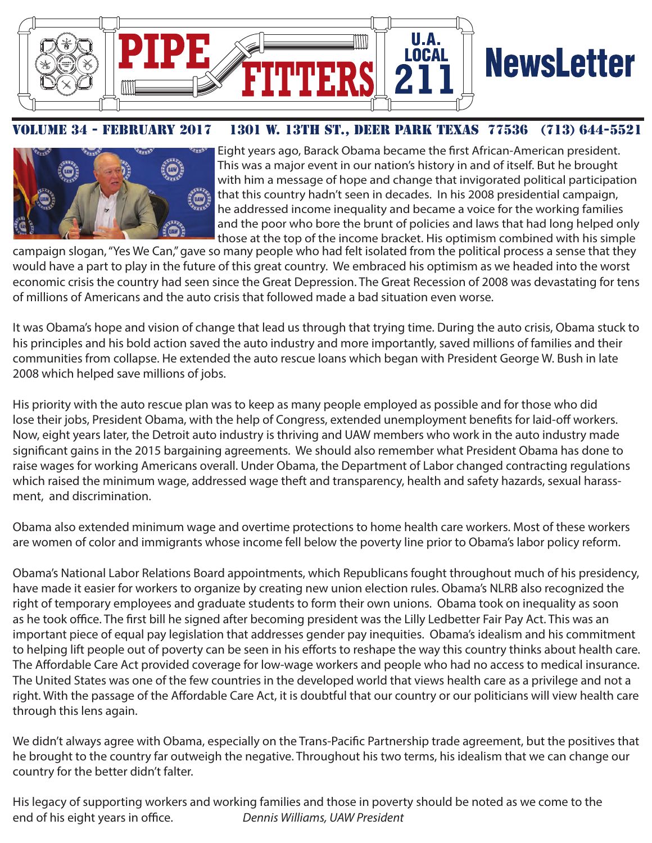

# **NewsLetter**

#### UME 34 - FEBRUARY 2017 1301 W. 13TH ST., DEER PARK TEXAS 77536 (713) 644-5521



Eight years ago, Barack Obama became the first African-American president. This was a major event in our nation's history in and of itself. But he brought with him a message of hope and change that invigorated political participation that this country hadn't seen in decades. In his 2008 presidential campaign, he addressed income inequality and became a voice for the working families and the poor who bore the brunt of policies and laws that had long helped only those at the top of the income bracket. His optimism combined with his simple

campaign slogan, "Yes We Can," gave so many people who had felt isolated from the political process a sense that they would have a part to play in the future of this great country. We embraced his optimism as we headed into the worst economic crisis the country had seen since the Great Depression. The Great Recession of 2008 was devastating for tens of millions of Americans and the auto crisis that followed made a bad situation even worse.

It was Obama's hope and vision of change that lead us through that trying time. During the auto crisis, Obama stuck to his principles and his bold action saved the auto industry and more importantly, saved millions of families and their communities from collapse. He extended the auto rescue loans which began with President George W. Bush in late 2008 which helped save millions of jobs.

His priority with the auto rescue plan was to keep as many people employed as possible and for those who did lose their jobs, President Obama, with the help of Congress, extended unemployment benefits for laid-off workers. Now, eight years later, the Detroit auto industry is thriving and UAW members who work in the auto industry made significant gains in the 2015 bargaining agreements. We should also remember what President Obama has done to raise wages for working Americans overall. Under Obama, the Department of Labor changed contracting regulations which raised the minimum wage, addressed wage theft and transparency, health and safety hazards, sexual harassment, and discrimination.

Obama also extended minimum wage and overtime protections to home health care workers. Most of these workers are women of color and immigrants whose income fell below the poverty line prior to Obama's labor policy reform.

Obama's National Labor Relations Board appointments, which Republicans fought throughout much of his presidency, have made it easier for workers to organize by creating new union election rules. Obama's NLRB also recognized the right of temporary employees and graduate students to form their own unions. Obama took on inequality as soon as he took office. The first bill he signed after becoming president was the Lilly Ledbetter Fair Pay Act. This was an important piece of equal pay legislation that addresses gender pay inequities. Obama's idealism and his commitment to helping lift people out of poverty can be seen in his efforts to reshape the way this country thinks about health care. The Affordable Care Act provided coverage for low-wage workers and people who had no access to medical insurance. The United States was one of the few countries in the developed world that views health care as a privilege and not a right. With the passage of the Affordable Care Act, it is doubtful that our country or our politicians will view health care through this lens again.

We didn't always agree with Obama, especially on the Trans-Pacific Partnership trade agreement, but the positives that he brought to the country far outweigh the negative. Throughout his two terms, his idealism that we can change our country for the better didn't falter.

His legacy of supporting workers and working families and those in poverty should be noted as we come to the end of his eight years in office. *Dennis Williams, UAW President*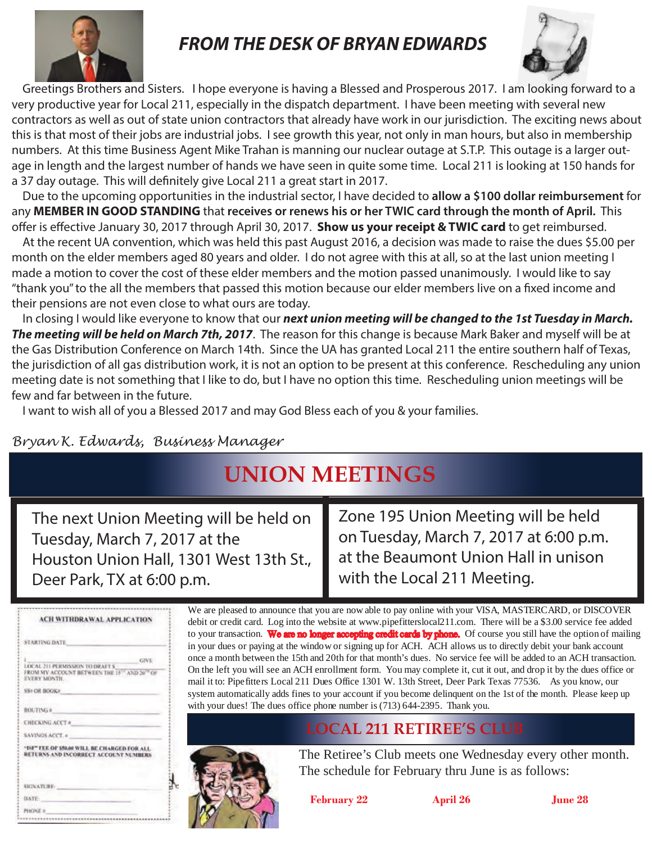

### *FROM THE DESK OF BRYAN EDWARDS*



 Greetings Brothers and Sisters. I hope everyone is having a Blessed and Prosperous 2017. I am looking forward to a very productive year for Local 211, especially in the dispatch department. I have been meeting with several new contractors as well as out of state union contractors that already have work in our jurisdiction. The exciting news about this is that most of their jobs are industrial jobs. I see growth this year, not only in man hours, but also in membership numbers. At this time Business Agent Mike Trahan is manning our nuclear outage at S.T.P. This outage is a larger outage in length and the largest number of hands we have seen in quite some time. Local 211 is looking at 150 hands for a 37 day outage. This will definitely give Local 211 a great start in 2017.

 Due to the upcoming opportunities in the industrial sector, I have decided to **allow a \$100 dollar reimbursement** for any **MEMBER IN GOOD STANDING** that **receives or renews his or her TWIC card through the month of April.** This offer is effective January 30, 2017 through April 30, 2017. **Show us your receipt & TWIC card** to get reimbursed.

 At the recent UA convention, which was held this past August 2016, a decision was made to raise the dues \$5.00 per month on the elder members aged 80 years and older. I do not agree with this at all, so at the last union meeting I made a motion to cover the cost of these elder members and the motion passed unanimously. I would like to say "thank you" to the all the members that passed this motion because our elder members live on a fixed income and their pensions are not even close to what ours are today.

 In closing I would like everyone to know that our *next union meeting will be changed to the 1st Tuesday in March. The meeting will be held on March 7th, 2017*. The reason for this change is because Mark Baker and myself will be at the Gas Distribution Conference on March 14th. Since the UA has granted Local 211 the entire southern half of Texas, the jurisdiction of all gas distribution work, it is not an option to be present at this conference. Rescheduling any union meeting date is not something that I like to do, but I have no option this time. Rescheduling union meetings will be few and far between in the future.

I want to wish all of you a Blessed 2017 and may God Bless each of you & your families.

#### *Bryan K. Edwards, Business Manager*

### **UNION MEETINGS**

The next Union Meeting will be held on Tuesday, March 7, 2017 at the Houston Union Hall, 1301 West 13th St., Deer Park, TX at 6:00 p.m.

Zone 195 Union Meeting will be held on Tuesday, March 7, 2017 at 6:00 p.m. at the Beaumont Union Hall in unison with the Local 211 Meeting.

| ACH WITHDRAWAL APPLICATION<br>STARTING DATE                                                                                                    |
|------------------------------------------------------------------------------------------------------------------------------------------------|
|                                                                                                                                                |
|                                                                                                                                                |
| <b>GIVE</b><br>LOCAL 211 PERMISSION TO DRAFT \$<br>FROM MY ACCOUNT BETWEEN THE 15 <sup>15</sup> AND 20 <sup>18</sup> OF<br><b>EVERY MONTH.</b> |
| SS# OR BOOK#                                                                                                                                   |
| ROUTING #                                                                                                                                      |
| <b>CHECKING ACCT #</b>                                                                                                                         |
| <b>SAVINGS ACCT. a</b>                                                                                                                         |
| "ISF" FEE OF \$50.00 WILL BE CHARGED FOR ALL.<br>RETURNS AND INCORRECT ACCOUNT NUMBERS                                                         |
| SIGNATURE:                                                                                                                                     |
| <b>DATE:</b>                                                                                                                                   |
| PHONE #                                                                                                                                        |

We are pleased to announce that you are now able to pay online with your VISA, MASTERCARD, or DISCOVER debit or credit card. Log into the website at www.pipefitterslocal211.com. There will be a \$3.00 service fee added to your transaction. We are no longer accepting credit cards by phone. Of course you still have the option of mailing in your dues or paying at the window or signing up for ACH. ACH allows us to directly debit your bank account once a month between the 15th and 20th for that month's dues. No service fee will be added to an ACH transaction. On the left you will see an ACH enrollment form. You may complete it, cut it out, and drop it by the dues office or mail it to: Pipefitters Local 211 Dues Office 1301 W. 13th Street, Deer Park Texas 77536. As you know, our system automatically adds fines to your account if you become delinquent on the 1st of the month. Please keep up with your dues! The dues office phone number is (713) 644-2395. Thank you.

#### **LOCAL 211 RETIREE'S CLUB**



The Retiree's Club meets one Wednesday every other month. The schedule for February thru June is as follows:

**February 22 April 26 June 28**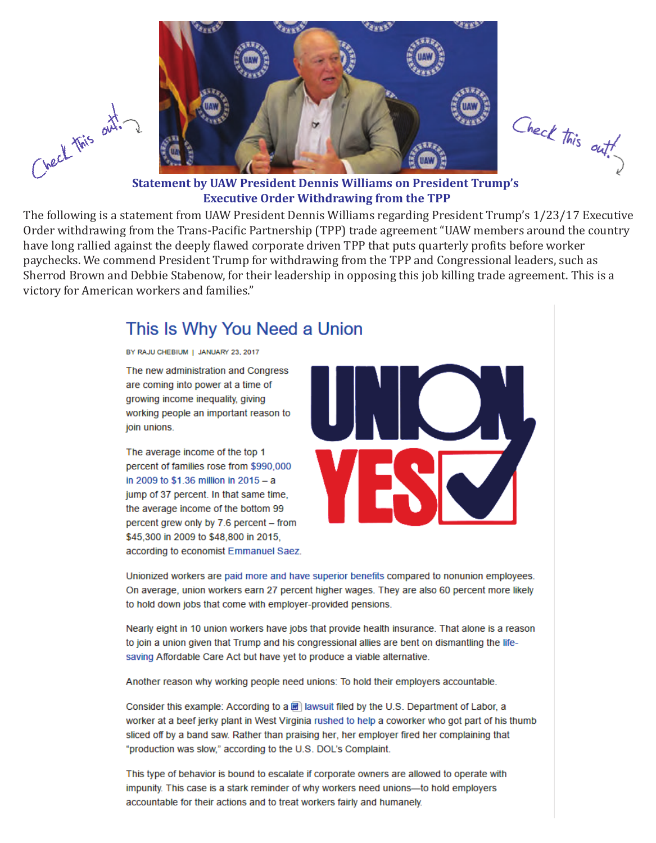

Check this out!

**Statement by UAW President Dennis Williams on President Trump's Executive Order Withdrawing from the TPP**

The following is a statement from UAW President Dennis Williams regarding President Trump's 1/23/17 Executive Order withdrawing from the Trans-Pacific Partnership (TPP) trade agreement "UAW members around the country have long rallied against the deeply flawed corporate driven TPP that puts quarterly profits before worker paychecks. We commend President Trump for withdrawing from the TPP and Congressional leaders, such as Sherrod Brown and Debbie Stabenow, for their leadership in opposing this job killing trade agreement. This is a victory for American workers and families."

#### This Is Why You Need a Union

BY RAJU CHEBIUM | JANUARY 23, 2017

Check this out.

The new administration and Congress are coming into power at a time of growing income inequality, giving working people an important reason to join unions.

The average income of the top 1 percent of families rose from \$990,000 in 2009 to \$1.36 million in 2015 - a jump of 37 percent. In that same time, the average income of the bottom 99 percent grew only by 7.6 percent - from \$45,300 in 2009 to \$48,800 in 2015, according to economist Emmanuel Saez.



Unionized workers are paid more and have superior benefits compared to nonunion employees. On average, union workers earn 27 percent higher wages. They are also 60 percent more likely to hold down jobs that come with employer-provided pensions.

Nearly eight in 10 union workers have jobs that provide health insurance. That alone is a reason to join a union given that Trump and his congressional allies are bent on dismantling the lifesaving Affordable Care Act but have yet to produce a viable alternative.

Another reason why working people need unions: To hold their employers accountable.

Consider this example: According to a a a lawsuit filed by the U.S. Department of Labor, a worker at a beef jerky plant in West Virginia rushed to help a coworker who got part of his thumb sliced off by a band saw. Rather than praising her, her employer fired her complaining that "production was slow," according to the U.S. DOL's Complaint.

This type of behavior is bound to escalate if corporate owners are allowed to operate with impunity. This case is a stark reminder of why workers need unions-to hold employers accountable for their actions and to treat workers fairly and humanely.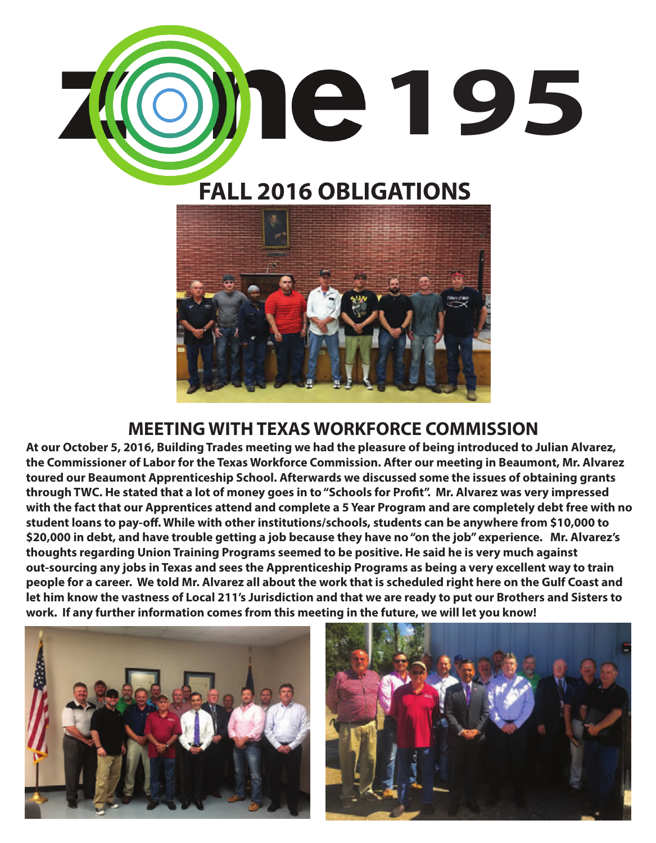

## **FALL 2016 OBLIGATIONS**



### **MEETING WITH TEXAS WORKFORCE COMMISSION**

**At our October 5, 2016, Building Trades meeting we had the pleasure of being introduced to Julian Alvarez, the Commissioner of Labor for the Texas Workforce Commission. After our meeting in Beaumont, Mr. Alvarez toured our Beaumont Apprenticeship School. Afterwards we discussed some the issues of obtaining grants**  through TWC. He stated that a lot of money goes in to "Schools for Profit". Mr. Alvarez was very impressed **with the fact that our Apprentices attend and complete a 5 Year Program and are completely debt free with no**  student loans to pay-off. While with other institutions/schools, students can be anywhere from \$10,000 to **\$20,000 in debt, and have trouble getting a job because they have no "on the job" experience. Mr. Alvarez's thoughts regarding Union Training Programs seemed to be positive. He said he is very much against out-sourcing any jobs in Texas and sees the Apprenticeship Programs as being a very excellent way to train people for a career. We told Mr. Alvarez all about the work that is scheduled right here on the Gulf Coast and let him know the vastness of Local 211's Jurisdiction and that we are ready to put our Brothers and Sisters to work. If any further information comes from this meeting in the future, we will let you know!**



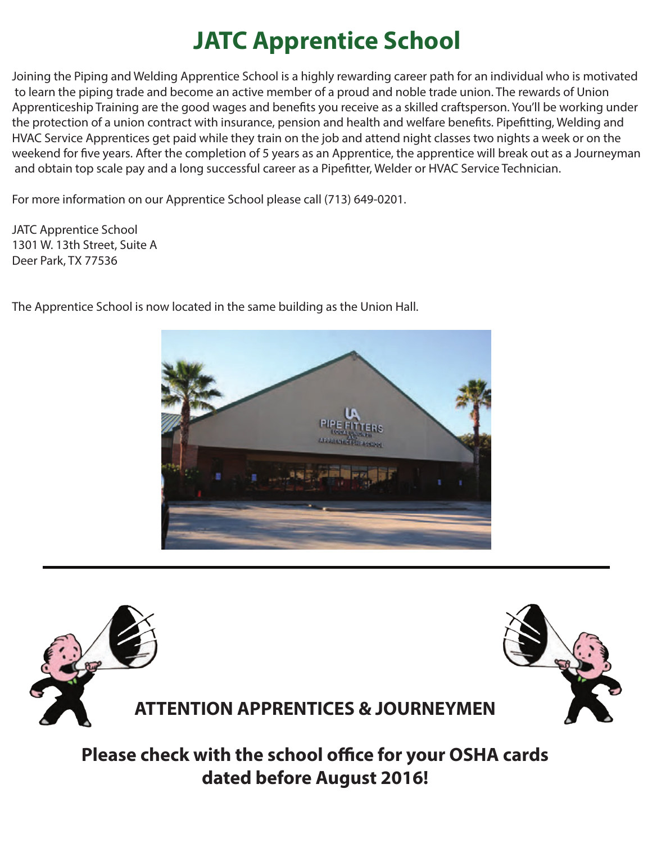# **JATC Apprentice School**

Joining the Piping and Welding Apprentice School is a highly rewarding career path for an individual who is motivated to learn the piping trade and become an active member of a proud and noble trade union. The rewards of Union Apprenticeship Training are the good wages and benefits you receive as a skilled craftsperson. You'll be working under the protection of a union contract with insurance, pension and health and welfare benefits. Pipefitting, Welding and HVAC Service Apprentices get paid while they train on the job and attend night classes two nights a week or on the weekend for five years. After the completion of 5 years as an Apprentice, the apprentice will break out as a Journeyman and obtain top scale pay and a long successful career as a Pipefitter, Welder or HVAC Service Technician.

For more information on our Apprentice School please call (713) 649-0201.

JATC Apprentice School 1301 W. 13th Street, Suite A Deer Park, TX 77536



The Apprentice School is now located in the same building as the Union Hall.



**Please check with the school office for your OSHA cards dated before August 2016!**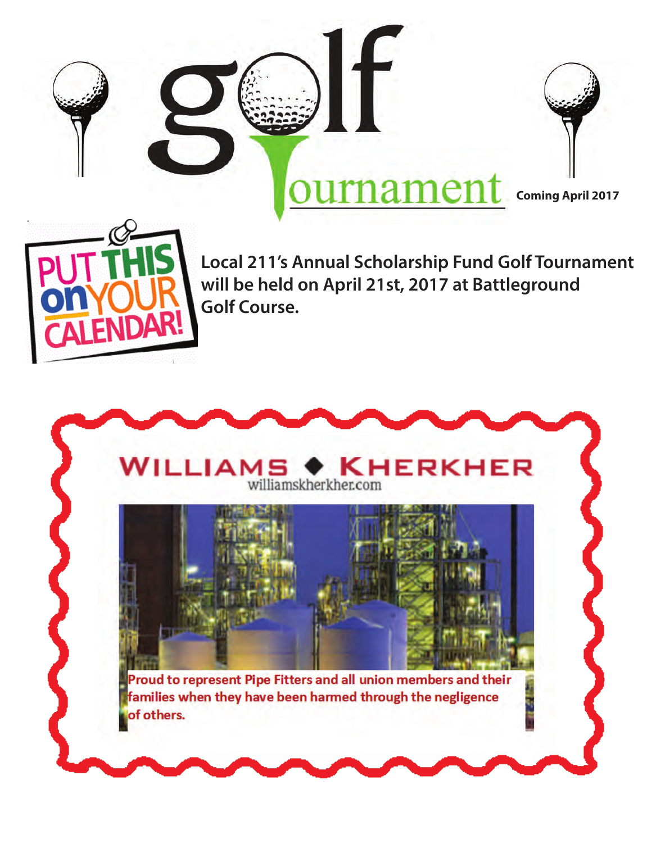



**Coming April 2017**



**Local 211's Annual Scholarship Fund Golf Tournament will be held on April 21st, 2017 at Battleground Golf Course.**

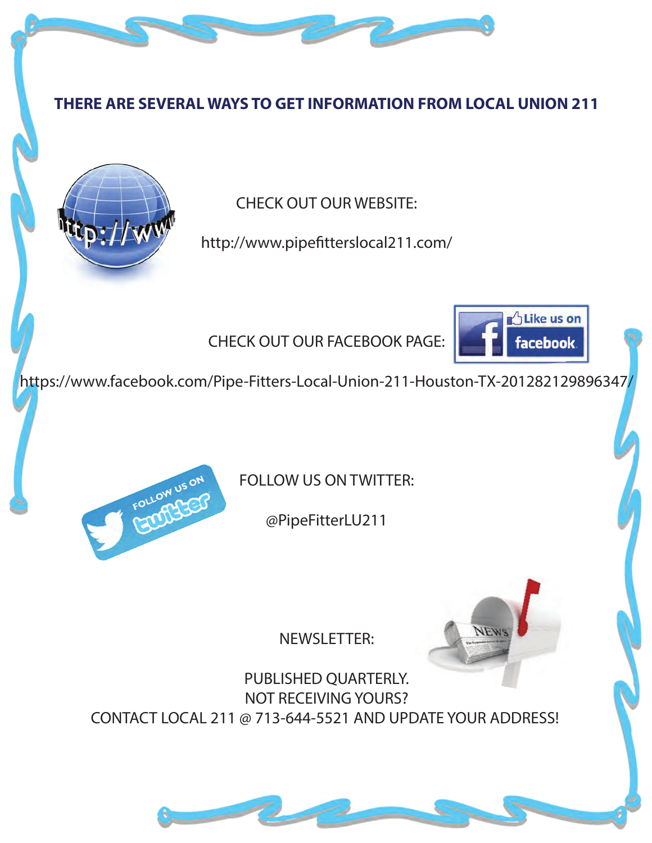#### **THERE ARE SEVERAL WAYS TO GET INFORMATION FROM LOCAL UNION 211**



CHECK OUT OUR WEBSITE:

http://www.pipefitterslocal211.com/

CHECK OUT OUR FACEBOOK PAGE:



https://www.facebook.com/Pipe-Fitters-Local-Union-211-Houston-TX-201282129896347/



FOLLOW US ON TWITTER:

@PipeFitterLU211



NEWSLETTER:

PUBLISHED QUARTERLY. NOT RECEIVING YOURS? CONTACT LOCAL 211 @ 713-644-5521 AND UPDATE YOUR ADDRESS!